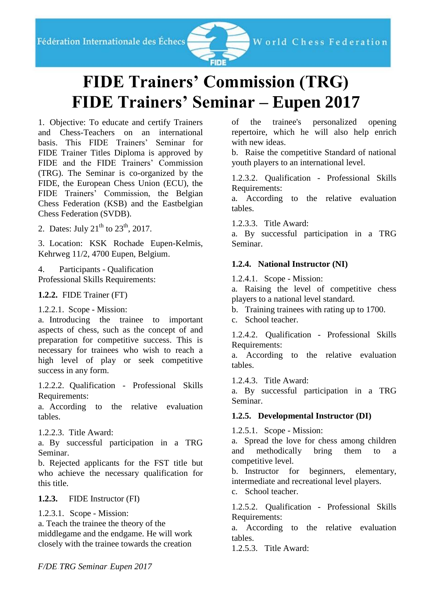

# **FIDE Trainers' Commission (TRG) FIDE Trainers' Seminar – Eupen 2017**

1. Objective: To educate and certify Trainers and Chess-Teachers on an international basis. This FIDE Trainers' Seminar for FIDE Trainer Titles Diploma is approved by FIDE and the FIDE Trainers' Commission (TRG). The Seminar is co-organized by the FIDE, the European Chess Union (ECU), the FIDE Trainers' Commission, the Belgian Chess Federation (KSB) and the Eastbelgian Chess Federation (SVDB).

2. Dates: July  $21^{th}$  to  $23^{th}$ , 2017.

3. Location: KSK Rochade Eupen-Kelmis, Kehrweg 11/2, 4700 Eupen, Belgium.

4. Participants - Qualification Professional Skills Requirements:

**1.2.2.** FIDE Trainer (FT)

1.2.2.1. Scope - Mission:

a. Introducing the trainee to important aspects of chess, such as the concept of and preparation for competitive success. This is necessary for trainees who wish to reach a high level of play or seek competitive success in any form.

1.2.2.2. Qualification - Professional Skills Requirements:

a. According to the relative evaluation tables.

1.2.2.3. Title Award:

a. By successful participation in a TRG Seminar.

b. Rejected applicants for the FST title but who achieve the necessary qualification for this title.

**1.2.3.** FIDE Instructor (FI)

1.2.3.1. Scope - Mission:

a. Teach the trainee the theory of the middlegame and the endgame. He will work closely with the trainee towards the creation

of the trainee's personalized opening repertoire, which he will also help enrich with new ideas.

b. Raise the competitive Standard of national youth players to an international level.

1.2.3.2. Qualification - Professional Skills Requirements:

a. According to the relative evaluation tables.

1.2.3.3. Title Award:

a. By successful participation in a TRG Seminar.

## **1.2.4. National Instructor (NI)**

1.2.4.1. Scope - Mission:

a. Raising the level of competitive chess players to a national level standard.

b. Training trainees with rating up to 1700.

c. School teacher.

1.2.4.2. Qualification - Professional Skills Requirements:

a. According to the relative evaluation tables.

1.2.4.3. Title Award:

a. By successful participation in a TRG Seminar.

#### **1.2.5. Developmental Instructor (DI)**

1.2.5.1. Scope - Mission:

a. Spread the love for chess among children and methodically bring them to a competitive level.

b. Instructor for beginners, elementary, intermediate and recreational level players.

c. School teacher.

1.2.5.2. Qualification - Professional Skills Requirements:

a. According to the relative evaluation tables.

1.2.5.3. Title Award: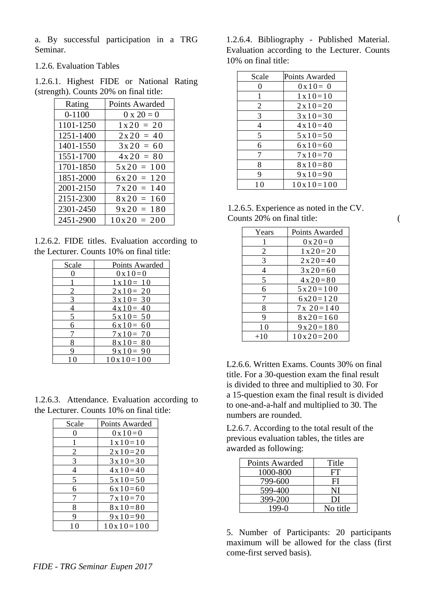a. By successful participation in a TRG Seminar.

1.2.6. Evaluation Tables

1.2.6.1. Highest FIDE or National Rating (strength). Counts 20% on final title:

| Rating     | Points Awarded    |
|------------|-------------------|
| $0 - 1100$ | $0 \times 20 = 0$ |
| 1101-1250  | $1x20 = 20$       |
| 1251-1400  | $2x20 = 40$       |
| 1401-1550  | $3x20 = 60$       |
| 1551-1700  | $4x20 = 80$       |
| 1701-1850  | $5x20 = 100$      |
| 1851-2000  | $6x20 = 120$      |
| 2001-2150  | $7x20 = 140$      |
| 2151-2300  | $8x20 = 160$      |
| 2301-2450  | $9x20 = 180$      |
| 2451-2900  | $10x20 = 200$     |

1.2.6.2. FIDE titles. Evaluation according to the Lecturer. Counts 10% on final title:

| Scale | Points Awarded     |
|-------|--------------------|
|       | $0 \times 10 = 0$  |
|       | $1 \times 10 = 10$ |
| 2     | $2 \times 10 = 20$ |
| 3     | $3x10=30$          |
|       | $4 \times 10 = 40$ |
| 5     | $5x10=50$          |
| 6     | $6x10=60$          |
|       | $7x10=70$          |
| 8     | $8x10=80$          |
|       | $9x10=90$          |
|       | $10x10=100$        |

1.2.6.3. Attendance. Evaluation according to the Lecturer. Counts 10% on final title:

| Scale             | Points Awarded     |
|-------------------|--------------------|
| $\mathbf{\Omega}$ | $0 \times 10 = 0$  |
|                   | $1 \times 10 = 10$ |
| 2                 | $2 \times 10 = 20$ |
| 3                 | $3 \times 10 = 30$ |
| 4                 | $4 \times 10 = 40$ |
| 5                 | $5x10=50$          |
| 6                 | $6x10=60$          |
| 7                 | $7 \times 10 = 70$ |
| 8                 | $8 \times 10 = 80$ |
| 9                 | $9x10=90$          |
|                   | $10x10=100$        |

1.2.6.4. Bibliography - Published Material. Evaluation according to the Lecturer. Counts 10% on final title:

| Scale | Points Awarded     |
|-------|--------------------|
| 0     | $0 \times 10 = 0$  |
| 1     | $1 \times 10 = 10$ |
| 2     | $2 \times 10 = 20$ |
| 3     | $3x10=30$          |
| 4     | $4 \times 10 = 40$ |
| 5     | $5x10=50$          |
| 6     | $6x10=60$          |
| 7     | $7x10=70$          |
| 8     | $8 \times 10 = 80$ |
| 9     | $9x10=90$          |
| 10    | $10x10=100$        |

| 1.2.6.5. Experience as noted in the CV. |  |
|-----------------------------------------|--|
| Counts 20% on final title:              |  |

| Years | Points Awarded     |
|-------|--------------------|
| 1     | $0 \times 20 = 0$  |
| 2     | $1 \times 20 = 20$ |
| 3     | $2 \times 20 = 40$ |
| 4     | $3x20=60$          |
| 5     | $4 \times 20 = 80$ |
| 6     | $5x20=100$         |
| 7     | $6x20=120$         |
| 8     | $7x20=140$         |
| 9     | $8x20=160$         |
| 10    | $9x20=180$         |
| $+10$ | $10x20=200$        |

L2.6.6. Written Exams. Counts 30% on final title. For a 30-question exam the final result is divided to three and multiplied to 30. For a 15-question exam the final result is divided to one-and-a-half and multiplied to 30. The numbers are rounded.

L2.6.7. According to the total result of the previous evaluation tables, the titles are awarded as following:

| Points Awarded | Title    |
|----------------|----------|
| 1000-800       | FT       |
| 799-600        | FI       |
| 599-400        | NI       |
| 399-200        | DI       |
| $199-0$        | No title |

5. Number of Participants: 20 participants maximum will be allowed for the class (first come-first served basis).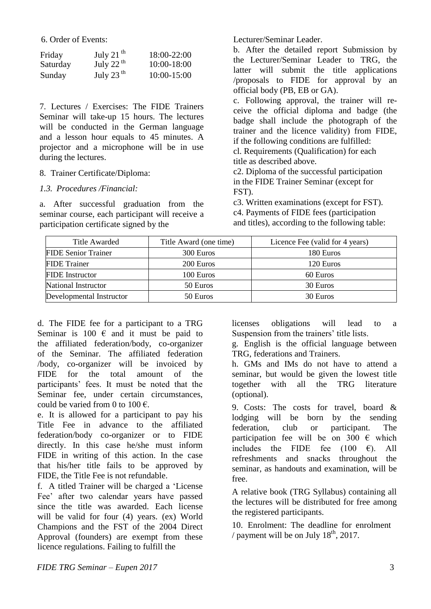6. Order of Events:

| Friday   | July 21 $^{\text{th}}$ | 18:00-22:00 |
|----------|------------------------|-------------|
| Saturday | July 22 $^{\rm th}$    | 10:00-18:00 |
| Sunday   | July 23 $^{th}$        | 10:00-15:00 |

7. Lectures / Exercises: The FIDE Trainers Seminar will take-up 15 hours. The lectures will be conducted in the German language and a lesson hour equals to 45 minutes. A projector and a microphone will be in use during the lectures.

#### 8. Trainer Certificate/Diploma:

## *1.3. Procedures /Financial:*

a. After successful graduation from the seminar course, each participant will receive a participation certificate signed by the

Lecturer/Seminar Leader.

b. After the detailed report Submission by the Lecturer/Seminar Leader to TRG, the latter will submit the title applications /proposals to FIDE for approval by an official body (PB, EB or GA).

c. Following approval, the trainer will receive the official diploma and badge (the badge shall include the photograph of the trainer and the licence validity) from FIDE, if the following conditions are fulfilled: cl. Requirements (Qualification) for each

title as described above.

c2. Diploma of the successful participation in the FIDE Trainer Seminar (except for FST).

c3. Written examinations (except for FST). c4. Payments of FIDE fees (participation and titles), according to the following table:

| Title Awarded<br>Title Award (one time) |          | Licence Fee (valid for 4 years) |  |
|-----------------------------------------|----------|---------------------------------|--|
| <b>FIDE Senior Trainer</b><br>300 Euros |          | 180 Euros                       |  |
| <b>FIDE</b> Trainer<br>200 Euros        |          | 120 Euros                       |  |
| <b>FIDE</b> Instructor<br>100 Euros     |          | 60 Euros                        |  |
| National Instructor<br>50 Euros         |          | 30 Euros                        |  |
| Developmental Instructor                | 50 Euros | 30 Euros                        |  |

d. The FIDE fee for a participant to a TRG Seminar is 100  $\epsilon$  and it must be paid to the affiliated federation/body, co-organizer of the Seminar. The affiliated federation /body, co-organizer will be invoiced by FIDE for the total amount of the participants' fees. It must be noted that the Seminar fee, under certain circumstances, could be varied from 0 to 100  $\epsilon$ .

e. It is allowed for a participant to pay his Title Fee in advance to the affiliated federation/body co-organizer or to FIDE directly. In this case he/she must inform FIDE in writing of this action. In the case that his/her title fails to be approved by FIDE, the Title Fee is not refundable.

f. A titled Trainer will be charged a 'License Fee' after two calendar years have passed since the title was awarded. Each license will be valid for four (4) years. (ex) World Champions and the FST of the 2004 Direct Approval (founders) are exempt from these licence regulations. Failing to fulfill the

licenses obligations will lead to a Suspension from the trainers' title lists.

g. English is the official language between TRG, federations and Trainers.

h. GMs and IMs do not have to attend a seminar, but would be given the lowest title together with all the TRG literature (optional).

9. Costs: The costs for travel, board & lodging will be born by the sending federation, club or participant. The participation fee will be on 300  $\epsilon$  which includes the FIDE fee  $(100 \text{ } \infty)$ . All refreshments and snacks throughout the seminar, as handouts and examination, will be free.

A relative book (TRG Syllabus) containing all the lectures will be distributed for free among the registered participants.

10. Enrolment: The deadline for enrolment / payment will be on July  $18<sup>th</sup>$ , 2017.